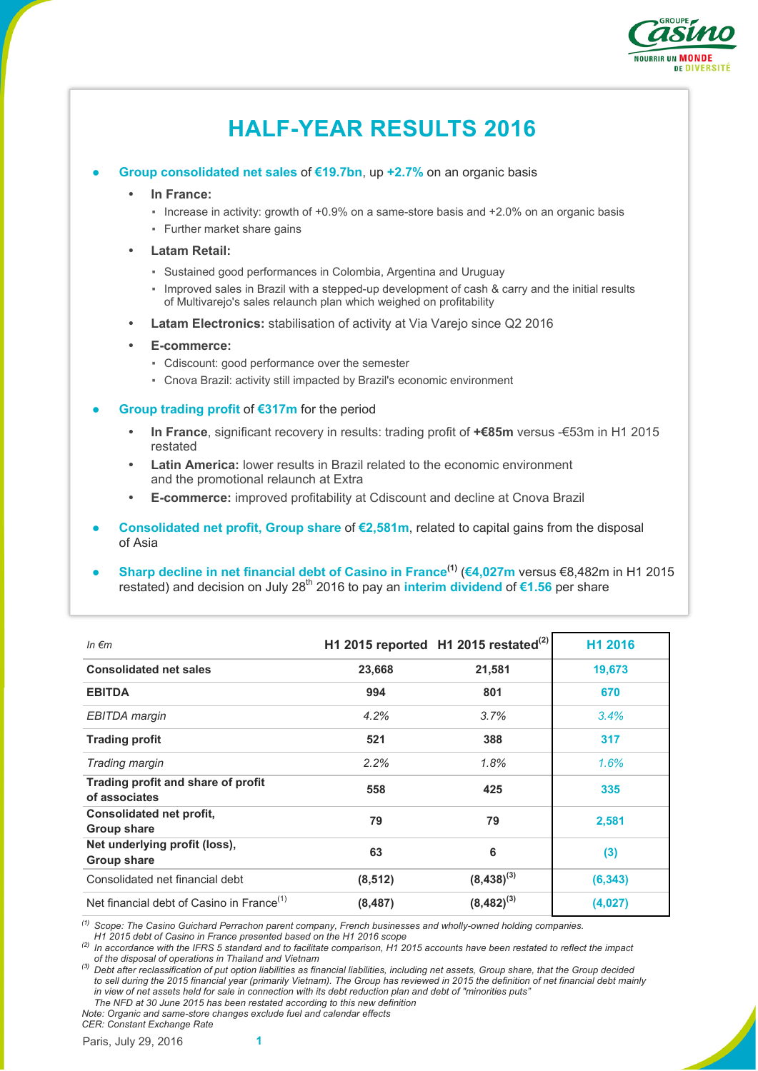

# **HALF-YEAR RESULTS 2016**

● **Group consolidated net sales** of **€19.7bn**, up **+2.7%** on an organic basis

#### **In France:**

- **•** Increase in activity: growth of  $+0.9\%$  on a same-store basis and  $+2.0\%$  on an organic basis
- Further market share gains

#### **Latam Retail:**

- Sustained good performances in Colombia, Argentina and Uruguay
- Improved sales in Brazil with a stepped-up development of cash & carry and the initial results of Multivarejo's sales relaunch plan which weighed on profitability
- **Latam Electronics:** stabilisation of activity at Via Varejo since Q2 2016

#### **E-commerce:**

- Cdiscount: good performance over the semester
- Cnova Brazil: activity still impacted by Brazil's economic environment

#### ● **Group trading profit** of **€317m** for the period

- **In France**, significant recovery in results: trading profit of **+€85m** versus -€53m in H1 2015 restated
- **Latin America:** lower results in Brazil related to the economic environment and the promotional relaunch at Extra
- **E-commerce:** improved profitability at Cdiscount and decline at Cnova Brazil
- **Consolidated net profit, Group share of €2,581m, related to capital gains from the disposal** of Asia
- **Sharp decline in net financial debt of Casino in France<sup>(1)</sup> (€4,027m versus €8,482m in H1 2015** restated) and decision on July 28<sup>th</sup> 2016 to pay an *interim dividend* of €1.56 per share

| In $\epsilon$ m                                       |          | H1 2015 reported H1 2015 restated $^{(2)}$ | H1 2016  |
|-------------------------------------------------------|----------|--------------------------------------------|----------|
| <b>Consolidated net sales</b>                         | 23,668   | 21,581                                     | 19,673   |
| <b>EBITDA</b>                                         | 994      | 801                                        | 670      |
| EBITDA margin                                         | 4.2%     | 3.7%                                       | 3.4%     |
| <b>Trading profit</b>                                 | 521      | 388                                        | 317      |
| Trading margin                                        | 2.2%     | 1.8%                                       | 1.6%     |
| Trading profit and share of profit<br>of associates   | 558      | 425                                        | 335      |
| Consolidated net profit,<br><b>Group share</b>        | 79       | 79                                         | 2,581    |
| Net underlying profit (loss),<br><b>Group share</b>   | 63       | 6                                          | (3)      |
| Consolidated net financial debt                       | (8, 512) | $(8,438)^{(3)}$                            | (6, 343) |
| Net financial debt of Casino in France <sup>(1)</sup> | (8, 487) | $(8,482)^{(3)}$                            | (4,027)  |

*(1) Scope: The Casino Guichard Perrachon parent company, French businesses and wholly-owned holding companies.* 

*(3) Debt after reclassification of put option liabilities as financial liabilities, including net assets, Group share, that the Group decided to sell during the 2015 financial year (primarily Vietnam). The Group has reviewed in 2015 the definition of net financial debt mainly in view of net assets held for sale in connection with its debt reduction plan and debt of "minorities puts" The NFD at 30 June 2015 has been restated according to this new definition* 

*Note: Organic and same-store changes exclude fuel and calendar effects* 

*CER: Constant Exchange Rate*

Paris, July 29, 2016 **1** 

*H1 2015 debt of Casino in France presented based on the H1 2016 scope (2) In accordance with the IFRS 5 standard and to facilitate comparison, H1 2015 accounts have been restated to reflect the impact of the disposal of operations in Thailand and Vietnam*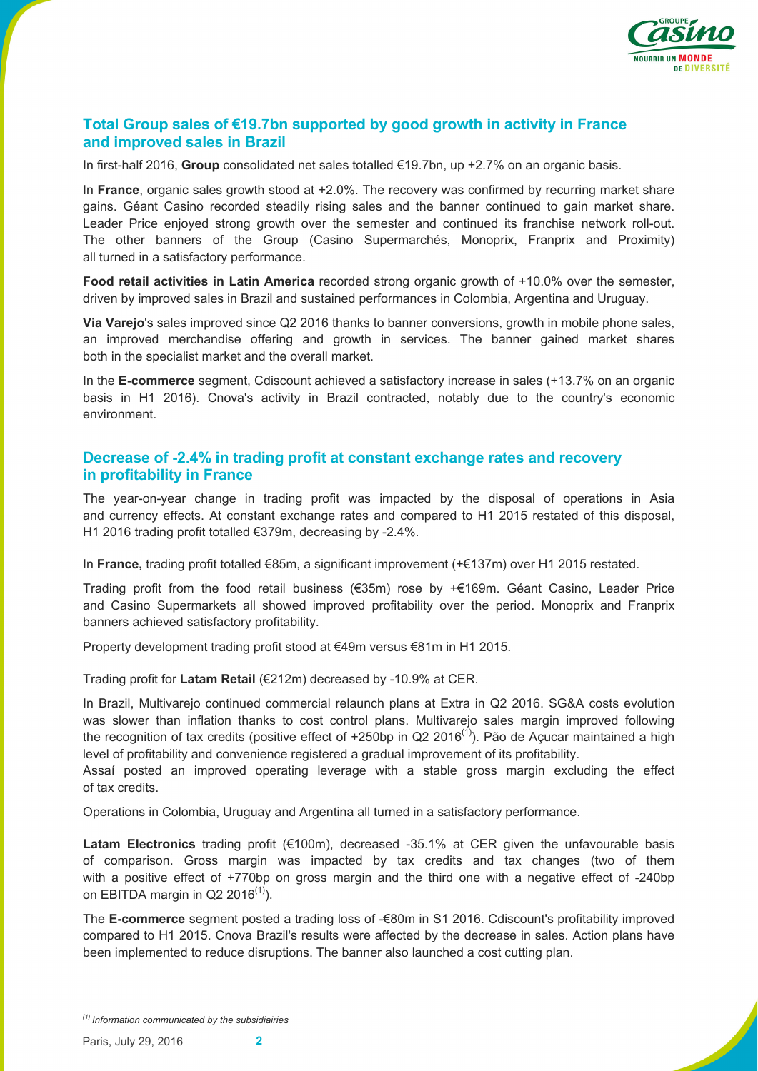

### **Total Group sales of €19.7bn supported by good growth in activity in France and improved sales in Brazil**

In first-half 2016, **Group** consolidated net sales totalled €19.7bn, up +2.7% on an organic basis.

In **France**, organic sales growth stood at +2.0%. The recovery was confirmed by recurring market share gains. Géant Casino recorded steadily rising sales and the banner continued to gain market share. Leader Price enjoyed strong growth over the semester and continued its franchise network roll-out. The other banners of the Group (Casino Supermarchés, Monoprix, Franprix and Proximity) all turned in a satisfactory performance.

**Food retail activities in Latin America** recorded strong organic growth of +10.0% over the semester, driven by improved sales in Brazil and sustained performances in Colombia, Argentina and Uruguay.

**Via Varejo**'s sales improved since Q2 2016 thanks to banner conversions, growth in mobile phone sales, an improved merchandise offering and growth in services. The banner gained market shares both in the specialist market and the overall market.

In the **E-commerce** segment, Cdiscount achieved a satisfactory increase in sales (+13.7% on an organic basis in H1 2016). Cnova's activity in Brazil contracted, notably due to the country's economic environment.

#### **Decrease of -2.4% in trading profit at constant exchange rates and recovery in profitability in France**

The year-on-year change in trading profit was impacted by the disposal of operations in Asia and currency effects. At constant exchange rates and compared to H1 2015 restated of this disposal, H1 2016 trading profit totalled €379m, decreasing by -2.4%.

In **France,** trading profit totalled €85m, a significant improvement (+€137m) over H1 2015 restated.

Trading profit from the food retail business (€35m) rose by +€169m. Géant Casino, Leader Price and Casino Supermarkets all showed improved profitability over the period. Monoprix and Franprix banners achieved satisfactory profitability.

Property development trading profit stood at €49m versus €81m in H1 2015.

Trading profit for **Latam Retail** (€212m) decreased by -10.9% at CER.

In Brazil, Multivarejo continued commercial relaunch plans at Extra in Q2 2016. SG&A costs evolution was slower than inflation thanks to cost control plans. Multivarejo sales margin improved following the recognition of tax credits (positive effect of +250bp in Q2 2016<sup>(1)</sup>). Pão de Açucar maintained a high level of profitability and convenience registered a gradual improvement of its profitability.

Assaí posted an improved operating leverage with a stable gross margin excluding the effect of tax credits.

Operations in Colombia, Uruguay and Argentina all turned in a satisfactory performance.

**Latam Electronics** trading profit (€100m), decreased -35.1% at CER given the unfavourable basis of comparison. Gross margin was impacted by tax credits and tax changes (two of them with a positive effect of +770bp on gross margin and the third one with a negative effect of -240bp on EBITDA margin in Q2 2016 $(1)$ ).

The **E-commerce** segment posted a trading loss of -€80m in S1 2016. Cdiscount's profitability improved compared to H1 2015. Cnova Brazil's results were affected by the decrease in sales. Action plans have been implemented to reduce disruptions. The banner also launched a cost cutting plan.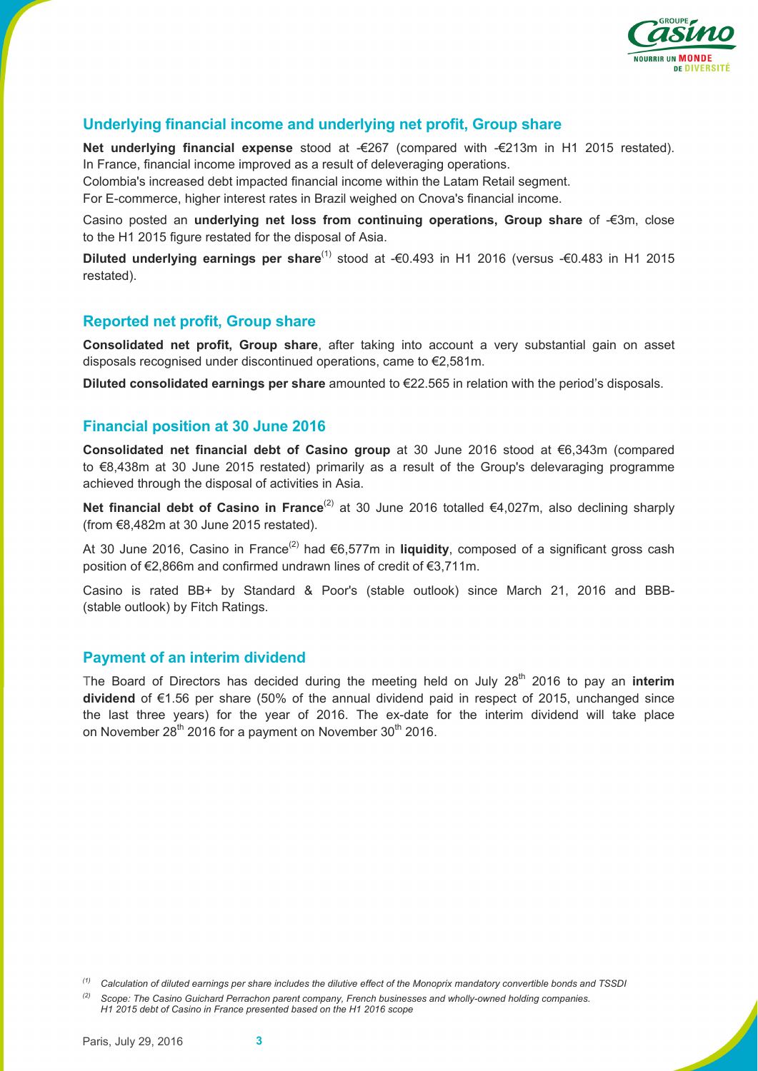

### **Underlying financial income and underlying net profit, Group share**

**Net underlying financial expense** stood at -€267 (compared with -€213m in H1 2015 restated). In France, financial income improved as a result of deleveraging operations.

Colombia's increased debt impacted financial income within the Latam Retail segment.

For E-commerce, higher interest rates in Brazil weighed on Cnova's financial income.

Casino posted an **underlying net loss from continuing operations, Group share** of -€3m, close to the H1 2015 figure restated for the disposal of Asia.

**Diluted underlying earnings per share**<sup>(1)</sup> stood at -€0.493 in H1 2016 (versus -€0.483 in H1 2015 restated).

#### **Reported net profit, Group share**

**Consolidated net profit, Group share**, after taking into account a very substantial gain on asset disposals recognised under discontinued operations, came to €2,581m.

**Diluted consolidated earnings per share** amounted to €22.565 in relation with the period's disposals.

#### **Financial position at 30 June 2016**

**Consolidated net financial debt of Casino group** at 30 June 2016 stood at €6,343m (compared to €8,438m at 30 June 2015 restated) primarily as a result of the Group's delevaraging programme achieved through the disposal of activities in Asia.

**Net financial debt of Casino in France<sup>(2)</sup> at 30 June 2016 totalled €4,027m, also declining sharply** (from €8,482m at 30 June 2015 restated).

At 30 June 2016, Casino in France<sup>(2)</sup> had €6,577m in **liquidity**, composed of a significant gross cash position of €2,866m and confirmed undrawn lines of credit of €3,711m.

Casino is rated BB+ by Standard & Poor's (stable outlook) since March 21, 2016 and BBB- (stable outlook) by Fitch Ratings.

#### **Payment of an interim dividend**

The Board of Directors has decided during the meeting held on July 28<sup>th</sup> 2016 to pay an **interim dividend** of €1.56 per share (50% of the annual dividend paid in respect of 2015, unchanged since the last three years) for the year of 2016. The ex-date for the interim dividend will take place on November  $28<sup>th</sup>$  2016 for a payment on November  $30<sup>th</sup>$  2016.

*<sup>(1)</sup> Calculation of diluted earnings per share includes the dilutive effect of the Monoprix mandatory convertible bonds and TSSDI* 

*<sup>(2)</sup> Scope: The Casino Guichard Perrachon parent company, French businesses and wholly-owned holding companies. H1 2015 debt of Casino in France presented based on the H1 2016 scope*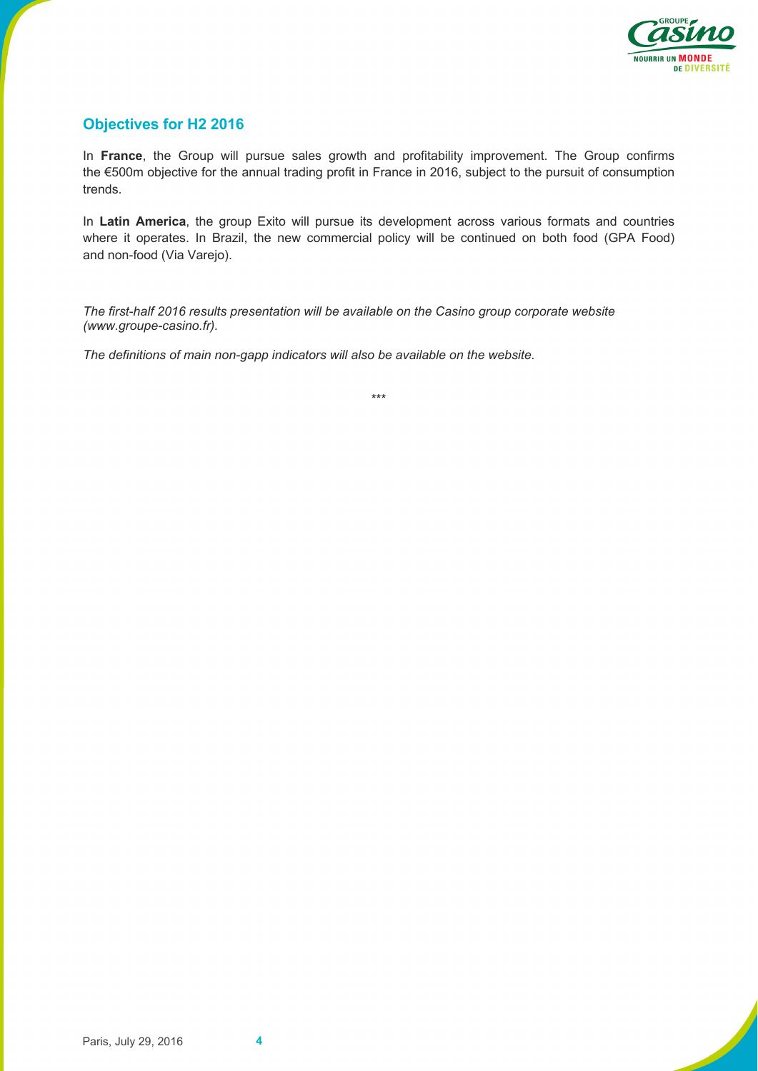

## **Objectives for H2 2016**

In **France**, the Group will pursue sales growth and profitability improvement. The Group confirms the €500m objective for the annual trading profit in France in 2016, subject to the pursuit of consumption trends.

In **Latin America**, the group Exito will pursue its development across various formats and countries where it operates. In Brazil, the new commercial policy will be continued on both food (GPA Food) and non-food (Via Varejo).

*The first-half 2016 results presentation will be available on the Casino group corporate website (www.groupe-casino.fr).* 

*The definitions of main non-gapp indicators will also be available on the website.* 

\*\*\*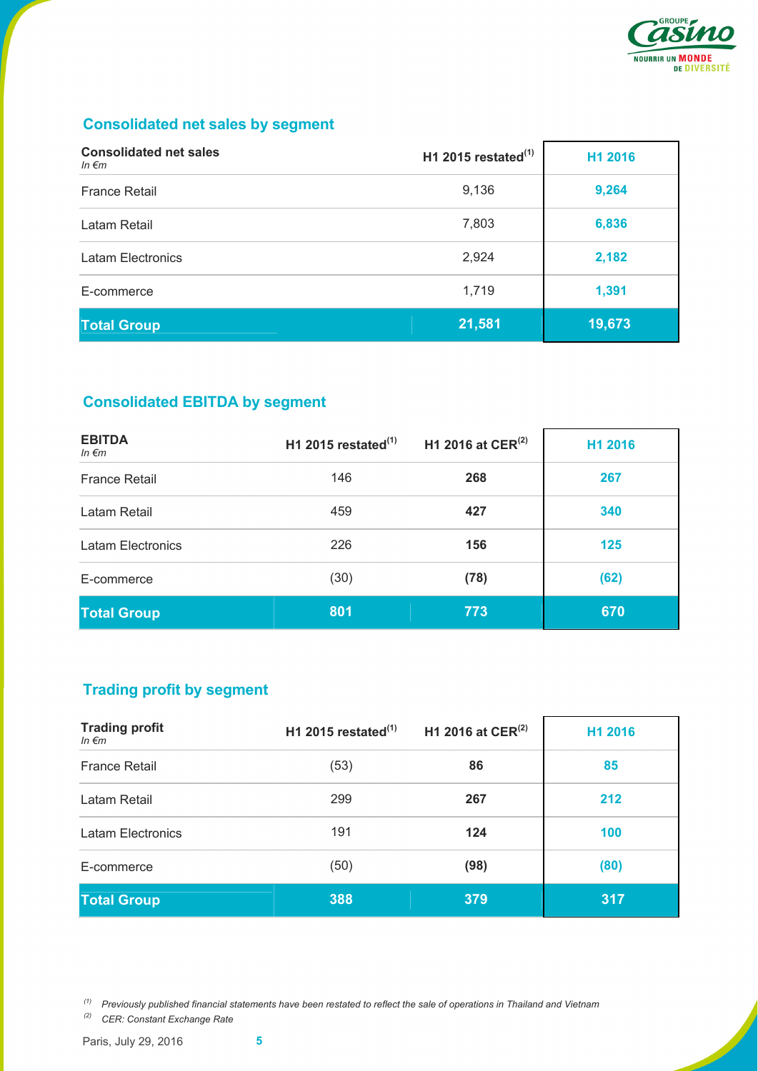

# **Consolidated net sales by segment**

| <b>Consolidated net sales</b><br>In $\epsilon$ m | H1 2015 restated $(1)$ | H1 2016 |
|--------------------------------------------------|------------------------|---------|
| <b>France Retail</b>                             | 9,136                  | 9,264   |
| Latam Retail                                     | 7,803                  | 6,836   |
| Latam Electronics                                | 2,924                  | 2,182   |
| E-commerce                                       | 1,719                  | 1,391   |
| <b>Total Group</b>                               | 21,581                 | 19,673  |

# **Consolidated EBITDA by segment**

| <b>EBITDA</b><br>In $\epsilon$ m | H1 2015 restated $(1)$ | H1 2016 at $CER^{(2)}$ | H1 2016 |
|----------------------------------|------------------------|------------------------|---------|
| <b>France Retail</b>             | 146                    | 268                    | 267     |
| Latam Retail                     | 459                    | 427                    | 340     |
| Latam Electronics                | 226                    | 156                    | 125     |
| E-commerce                       | (30)                   | (78)                   | (62)    |
| <b>Total Group</b>               | 801                    | 773                    | 670     |

# **Trading profit by segment**

| <b>Trading profit</b><br>In $\epsilon$ m | H1 2015 restated $(1)$ | H1 2016 at $CER^{(2)}$ | H1 2016 |
|------------------------------------------|------------------------|------------------------|---------|
| <b>France Retail</b>                     | (53)                   | 86                     | 85      |
| Latam Retail                             | 299                    | 267                    | 212     |
| Latam Electronics                        | 191                    | 124                    | 100     |
| E-commerce                               | (50)                   | (98)                   | (80)    |
| <b>Total Group</b>                       | 388                    | 379                    | 317     |

*(1) Previously published financial statements have been restated to reflect the sale of operations in Thailand and Vietnam* 

*(2) CER: Constant Exchange Rate*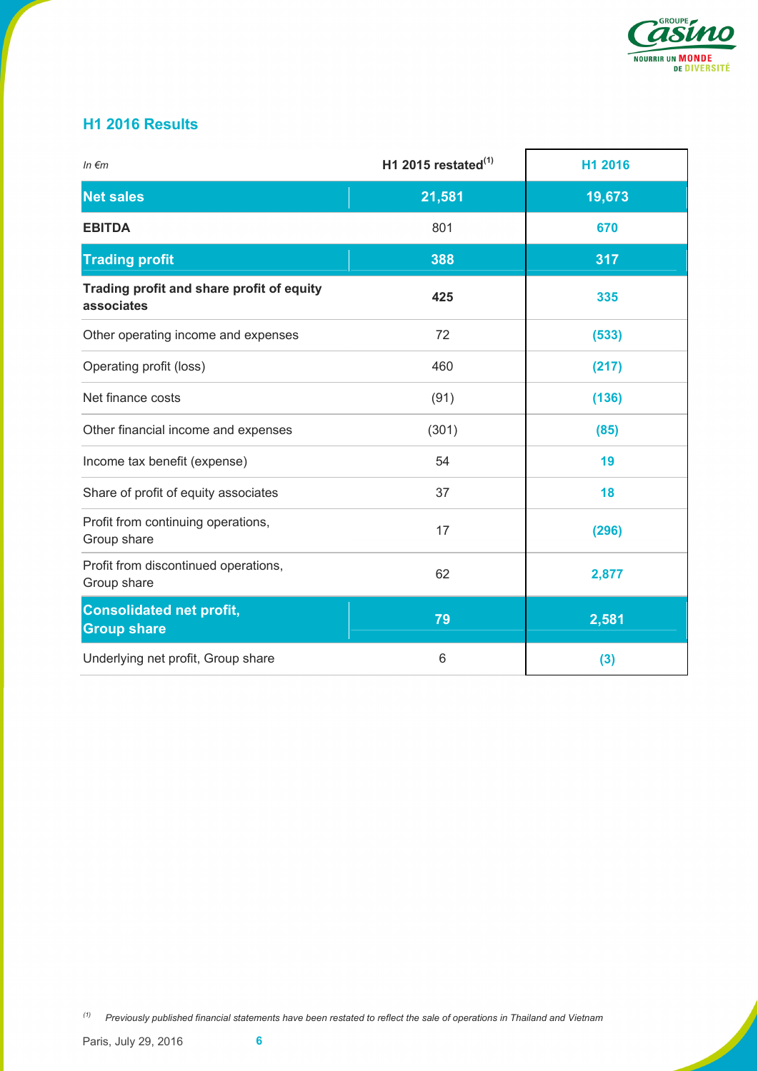

## **H1 2016 Results**

| In $\epsilon$ m                                         | H1 2015 restated $^{(1)}$ | H1 2016 |
|---------------------------------------------------------|---------------------------|---------|
| <b>Net sales</b>                                        | 21,581                    | 19,673  |
| <b>EBITDA</b>                                           | 801                       | 670     |
| <b>Trading profit</b>                                   | 388                       | 317     |
| Trading profit and share profit of equity<br>associates | 425                       | 335     |
| Other operating income and expenses                     | 72                        | (533)   |
| Operating profit (loss)                                 | 460                       | (217)   |
| Net finance costs                                       | (91)                      | (136)   |
| Other financial income and expenses                     | (301)                     | (85)    |
| Income tax benefit (expense)                            | 54                        | 19      |
| Share of profit of equity associates                    | 37                        | 18      |
| Profit from continuing operations,<br>Group share       | 17                        | (296)   |
| Profit from discontinued operations,<br>Group share     | 62                        | 2,877   |
| <b>Consolidated net profit,</b><br><b>Group share</b>   | 79                        | 2,581   |
| Underlying net profit, Group share                      | 6                         | (3)     |

*(1) Previously published financial statements have been restated to reflect the sale of operations in Thailand and Vietnam*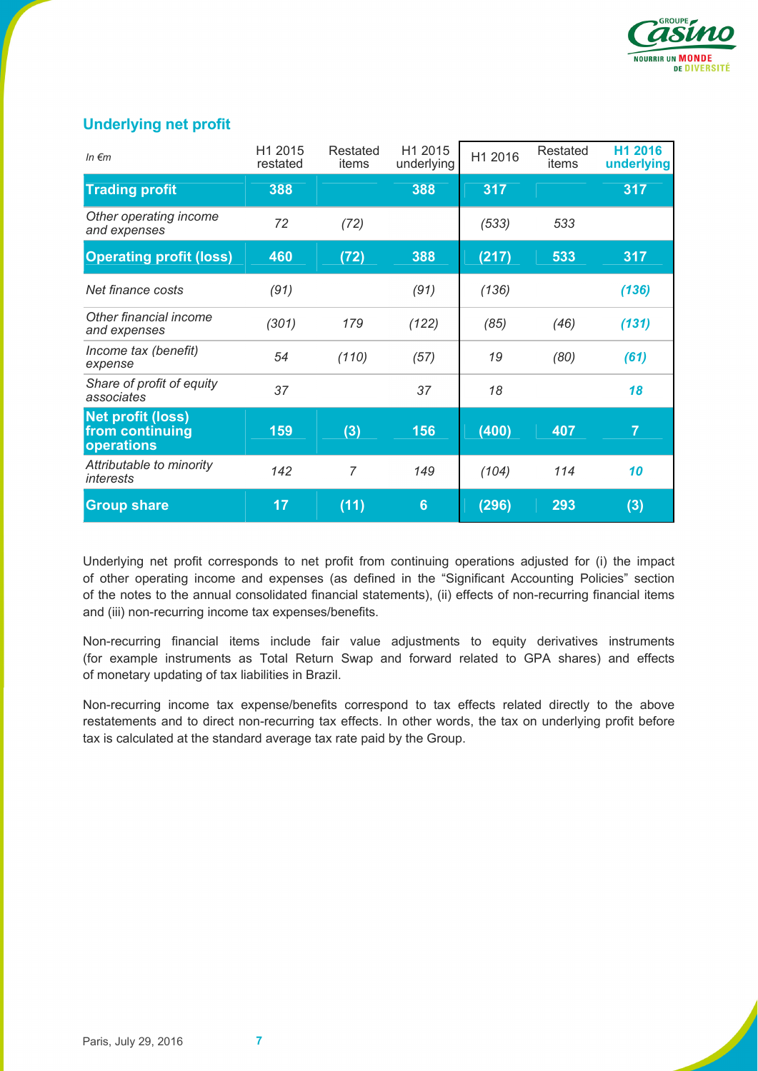

## **Underlying net profit**

| In $\epsilon$ m                                           | H1 2015<br>restated | Restated<br>items | H1 2015<br>underlying | H1 2016 | Restated<br>items | H1 2016<br>underlying |
|-----------------------------------------------------------|---------------------|-------------------|-----------------------|---------|-------------------|-----------------------|
| <b>Trading profit</b>                                     | 388                 |                   | 388                   | 317     |                   | 317                   |
| Other operating income<br>and expenses                    | 72                  | (72)              |                       | (533)   | 533               |                       |
| <b>Operating profit (loss)</b>                            | 460                 | (72)              | 388                   | (217)   | 533               | 317                   |
| Net finance costs                                         | (91)                |                   | (91)                  | (136)   |                   | (136)                 |
| Other financial income<br>and expenses                    | (301)               | 179               | (122)                 | (85)    | (46)              | (131)                 |
| Income tax (benefit)<br>expense                           | 54                  | (110)             | (57)                  | 19      | (80)              | (61)                  |
| Share of profit of equity<br>associates                   | 37                  |                   | 37                    | 18      |                   | 18                    |
| <b>Net profit (loss)</b><br>from continuing<br>operations | 159                 | (3)               | 156                   | (400)   | 407               | $\overline{7}$        |
| Attributable to minority<br><i>interests</i>              | 142                 | $\overline{7}$    | 149                   | (104)   | 114               | 10                    |
| <b>Group share</b>                                        | 17                  | (11)              | 6                     | (296)   | 293               | (3)                   |

Underlying net profit corresponds to net profit from continuing operations adjusted for (i) the impact of other operating income and expenses (as defined in the "Significant Accounting Policies" section of the notes to the annual consolidated financial statements), (ii) effects of non-recurring financial items and (iii) non-recurring income tax expenses/benefits.

Non-recurring financial items include fair value adjustments to equity derivatives instruments (for example instruments as Total Return Swap and forward related to GPA shares) and effects of monetary updating of tax liabilities in Brazil.

Non-recurring income tax expense/benefits correspond to tax effects related directly to the above restatements and to direct non-recurring tax effects. In other words, the tax on underlying profit before tax is calculated at the standard average tax rate paid by the Group.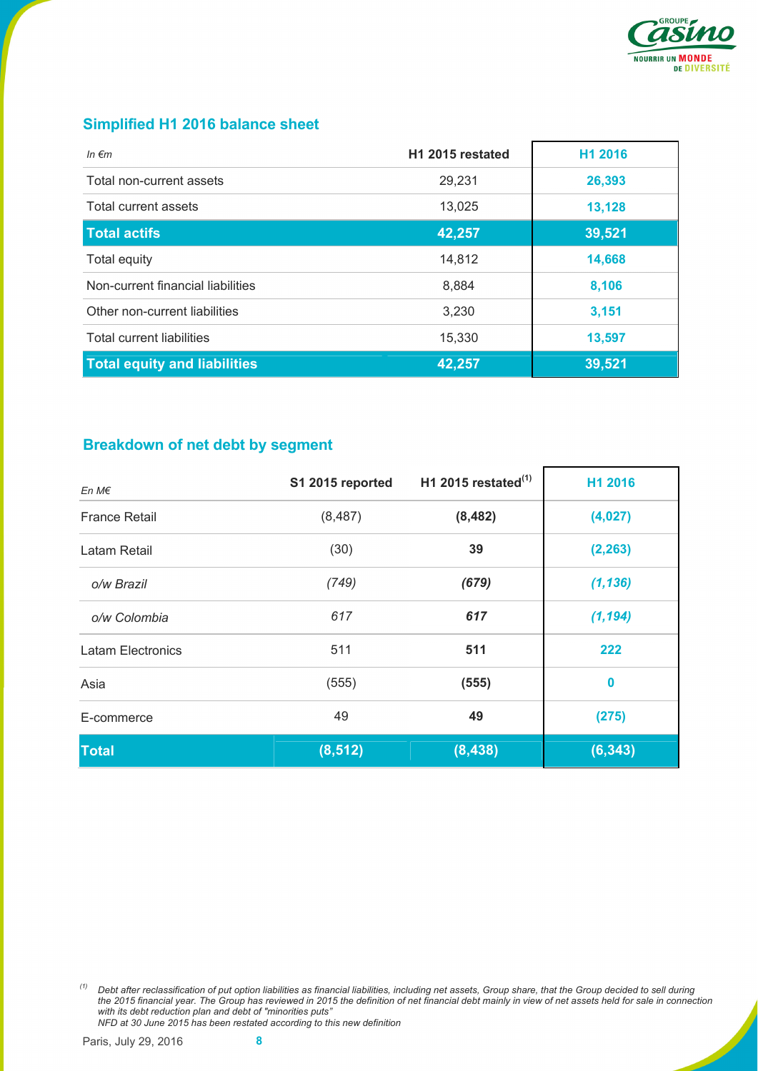

## **Simplified H1 2016 balance sheet**

| In $\epsilon$ m                     | H <sub>1</sub> 2015 restated | H1 2016 |
|-------------------------------------|------------------------------|---------|
| Total non-current assets            | 29,231                       | 26,393  |
| Total current assets                | 13,025                       | 13,128  |
| <b>Total actifs</b>                 | 42,257                       | 39,521  |
| Total equity                        | 14,812                       | 14,668  |
| Non-current financial liabilities   | 8,884                        | 8,106   |
| Other non-current liabilities       | 3,230                        | 3,151   |
| <b>Total current liabilities</b>    | 15,330                       | 13,597  |
| <b>Total equity and liabilities</b> | 42,257                       | 39,521  |

## **Breakdown of net debt by segment**

| $En M\epsilon$       | S1 2015 reported | H1 2015 restated $(1)$ | H1 2016  |
|----------------------|------------------|------------------------|----------|
| <b>France Retail</b> | (8, 487)         | (8, 482)               | (4,027)  |
| Latam Retail         | (30)             | 39                     | (2, 263) |
| o/w Brazil           | (749)            | (679)                  | (1, 136) |
| o/w Colombia         | 617              | 617                    | (1, 194) |
| Latam Electronics    | 511              | 511                    | 222      |
| Asia                 | (555)            | (555)                  | $\bf{0}$ |
| E-commerce           | 49               | 49                     | (275)    |
| <b>Total</b>         | (8, 512)         | (8, 438)               | (6, 343) |

*<sup>(1)</sup> Debt after reclassification of put option liabilities as financial liabilities, including net assets, Group share, that the Group decided to sell during the 2015 financial year. The Group has reviewed in 2015 the definition of net financial debt mainly in view of net assets held for sale in connection with its debt reduction plan and debt of "minorities puts" NFD at 30 June 2015 has been restated according to this new definition*